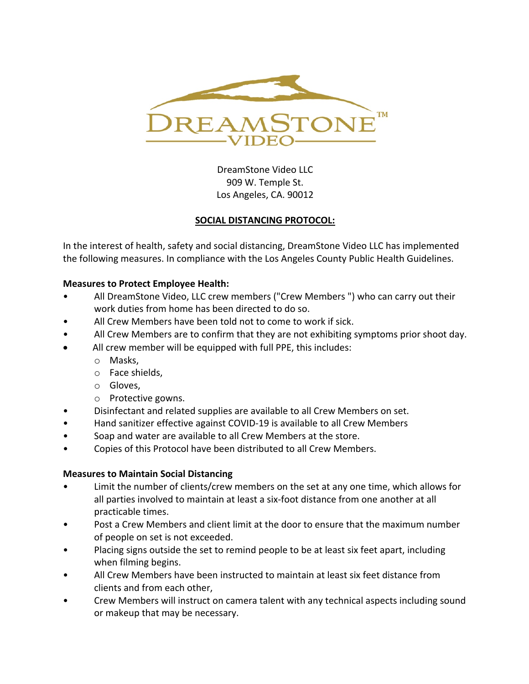

DreamStone Video LLC 909 W. Temple St. Los Angeles, CA. 90012

## **SOCIAL DISTANCING PROTOCOL:**

In the interest of health, safety and social distancing, DreamStone Video LLC has implemented the following measures. In compliance with the Los Angeles County Public Health Guidelines.

## **Measures to Protect Employee Health:**

- All DreamStone Video, LLC crew members ("Crew Members ") who can carry out their work duties from home has been directed to do so.
- All Crew Members have been told not to come to work if sick.
- All Crew Members are to confirm that they are not exhibiting symptoms prior shoot day.
- All crew member will be equipped with full PPE, this includes:
	- o Masks,
	- o Face shields,
	- o Gloves,
	- o Protective gowns.
- Disinfectant and related supplies are available to all Crew Members on set.
- Hand sanitizer effective against COVID-19 is available to all Crew Members
- Soap and water are available to all Crew Members at the store.
- Copies of this Protocol have been distributed to all Crew Members.

## **Measures to Maintain Social Distancing**

- Limit the number of clients/crew members on the set at any one time, which allows for all parties involved to maintain at least a six-foot distance from one another at all practicable times.
- Post a Crew Members and client limit at the door to ensure that the maximum number of people on set is not exceeded.
- Placing signs outside the set to remind people to be at least six feet apart, including when filming begins.
- All Crew Members have been instructed to maintain at least six feet distance from clients and from each other,
- Crew Members will instruct on camera talent with any technical aspects including sound or makeup that may be necessary.